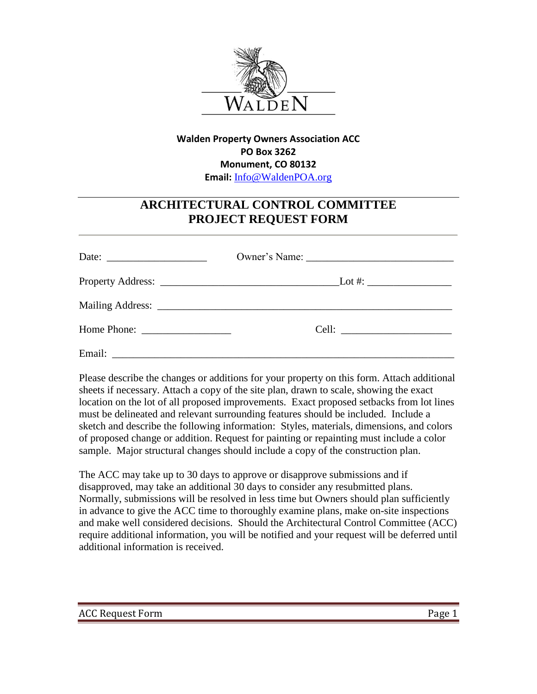

## **Walden Property Owners Association ACC PO Box 3262 Monument, CO 80132 Email:** [Info@WaldenPOA.org](mailto:Info@WaldenPOA.org)

## **ARCHITECTURAL CONTROL COMMITTEE PROJECT REQUEST FORM**

| Date: $\frac{1}{\sqrt{1-\frac{1}{2}} \cdot \frac{1}{2}}$ |  |
|----------------------------------------------------------|--|
|                                                          |  |
|                                                          |  |
|                                                          |  |
|                                                          |  |

Please describe the changes or additions for your property on this form. Attach additional sheets if necessary. Attach a copy of the site plan, drawn to scale, showing the exact location on the lot of all proposed improvements. Exact proposed setbacks from lot lines must be delineated and relevant surrounding features should be included. Include a sketch and describe the following information: Styles, materials, dimensions, and colors of proposed change or addition. Request for painting or repainting must include a color sample. Major structural changes should include a copy of the construction plan.

The ACC may take up to 30 days to approve or disapprove submissions and if disapproved, may take an additional 30 days to consider any resubmitted plans. Normally, submissions will be resolved in less time but Owners should plan sufficiently in advance to give the ACC time to thoroughly examine plans, make on-site inspections and make well considered decisions. Should the Architectural Control Committee (ACC) require additional information, you will be notified and your request will be deferred until additional information is received.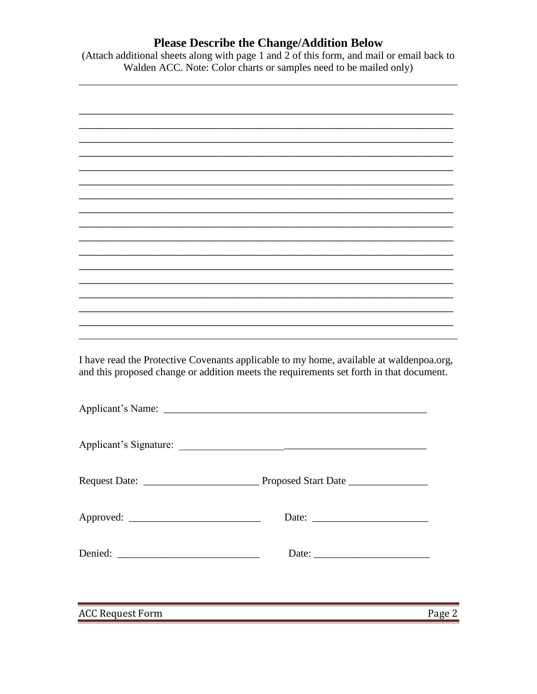## **Please Describe the Change/Addition Below**

(Attach additional sheets along with page 1 and 2 of this form, and mail or email back to Walden ACC. Note: Color charts or samples need to be mailed only)



**ACC Request Form**